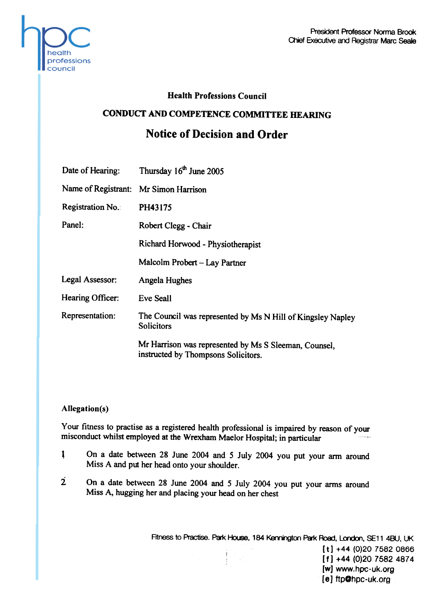

## Health Professions Council

## CONDUCT AND COMPETENCE COMMITTEE HEARING

# Notice of Decision and Order

|                                       | Date of Hearing: Thursday 16th June 2005                                                     |
|---------------------------------------|----------------------------------------------------------------------------------------------|
| Name of Registrant: Mr Simon Harrison |                                                                                              |
| Registration No.                      | PH43175                                                                                      |
| Panel:                                | Robert Clegg - Chair                                                                         |
|                                       | Richard Horwood - Physiotherapist                                                            |
|                                       | Malcolm Probert – Lay Partner                                                                |
| Legal Assessor:                       | Angela Hughes                                                                                |
| Hearing Officer:                      | Eve Seall                                                                                    |
| Representation:                       | The Council was represented by Ms N Hill of Kingsley Napley<br><b>Solicitors</b>             |
|                                       | Mr Harrison was represented by Ms S Sleeman, Counsel,<br>instructed by Thompsons Solicitors. |

#### Allegation(s)

Your fitness to practise as a registered health professional is impaired by reason of your misconduct whilst employed at the Wrexham Maelor Hospital; in particular

- 1 On a date between 28 June 2004 and 5 July 2004 you put your arm around Miss A and put her head onto your shoulder.
- $2$  On a date between 28 June 2004 and 5 July 2004 you put your arms around Miss A, hugging her and placing your head on her chest

Fitness to Practise. Park House, 184 Kennington Park Road, London, SE11 4BU, UK  $[t] +44 (0)20 7582 0866$  $[f] +44 (0)20 7582 4874$ [w] www.hpc-uk.org (e) ftpOhpc-uk.org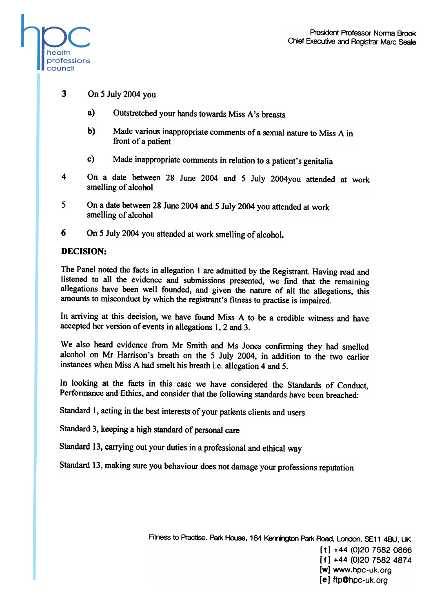

- 3 On 5 July 2004 you
	- a) Outstretched your hands towards Miss A's breasts
	- b) Made various inappropriate comments of a sexual nature to Miss A in front of a patient
	- c) Made inappropriate comments in relation to a patient's genitalia
- 4 On a date between 28 June 2004 and 5 July 2004you attended at work smelling of alcohol
- 5 On a date between 28 June 2004 and 5 July 2004 you attended at work smelling of alcohol
- 6 On 5 July 2004 you attended at work smelling of alcohol.

## DECISION:

The Panel noted the facts in allegation I are admitted by the Registrant. Having read and listened to all the evidence and submissions presented, we find that the remaining allegations have been well founded, and given the nature of all the allegations, this amounts to misconduct by which the registrant's fitness to practise is impaired.

In arriving at this decision, we have found Miss A to be a credible witness and have accepted her version of events in allegations I, 2 and 3.

We also heard evidence from Mr Smith and Ms Jones confirming they had smelled alcohol on Mr Harrison's breath on the 5 July 2004, in addition to the two earlier instances when Miss A had smelt his breath i.e. allegation 4 and 5.

In looking at the facts in this case we have considered the Standards of Conduct, Performance and Ethics, and consider that the following standards have been breached:

Standard 1, acting in the best interests of your patients clients and users

Standard 3, keeping a high standard of personal care

Standard 13, carrying out your duties in a professional and ethical way

Standard 13, making sure you behaviour does not damage your professions reputation